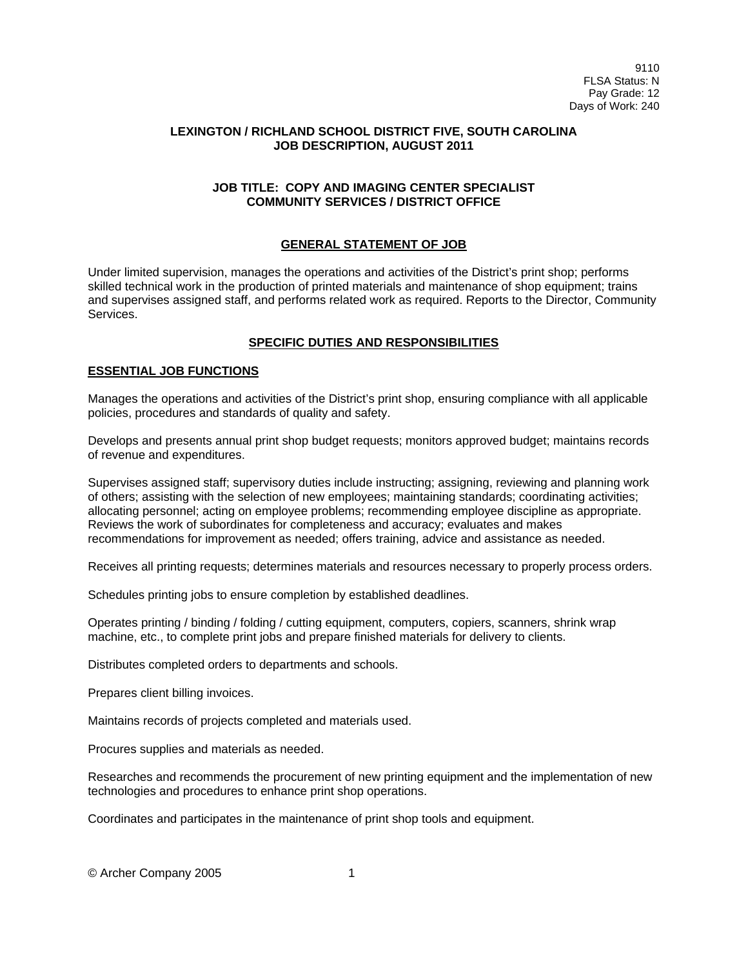# **LEXINGTON / RICHLAND SCHOOL DISTRICT FIVE, SOUTH CAROLINA JOB DESCRIPTION, AUGUST 2011**

## **JOB TITLE: COPY AND IMAGING CENTER SPECIALIST COMMUNITY SERVICES / DISTRICT OFFICE**

# **GENERAL STATEMENT OF JOB**

Under limited supervision, manages the operations and activities of the District's print shop; performs skilled technical work in the production of printed materials and maintenance of shop equipment; trains and supervises assigned staff, and performs related work as required. Reports to the Director, Community **Services** 

# **SPECIFIC DUTIES AND RESPONSIBILITIES**

# **ESSENTIAL JOB FUNCTIONS**

Manages the operations and activities of the District's print shop, ensuring compliance with all applicable policies, procedures and standards of quality and safety.

Develops and presents annual print shop budget requests; monitors approved budget; maintains records of revenue and expenditures.

Supervises assigned staff; supervisory duties include instructing; assigning, reviewing and planning work of others; assisting with the selection of new employees; maintaining standards; coordinating activities; allocating personnel; acting on employee problems; recommending employee discipline as appropriate. Reviews the work of subordinates for completeness and accuracy; evaluates and makes recommendations for improvement as needed; offers training, advice and assistance as needed.

Receives all printing requests; determines materials and resources necessary to properly process orders.

Schedules printing jobs to ensure completion by established deadlines.

Operates printing / binding / folding / cutting equipment, computers, copiers, scanners, shrink wrap machine, etc., to complete print jobs and prepare finished materials for delivery to clients.

Distributes completed orders to departments and schools.

Prepares client billing invoices.

Maintains records of projects completed and materials used.

Procures supplies and materials as needed.

Researches and recommends the procurement of new printing equipment and the implementation of new technologies and procedures to enhance print shop operations.

Coordinates and participates in the maintenance of print shop tools and equipment.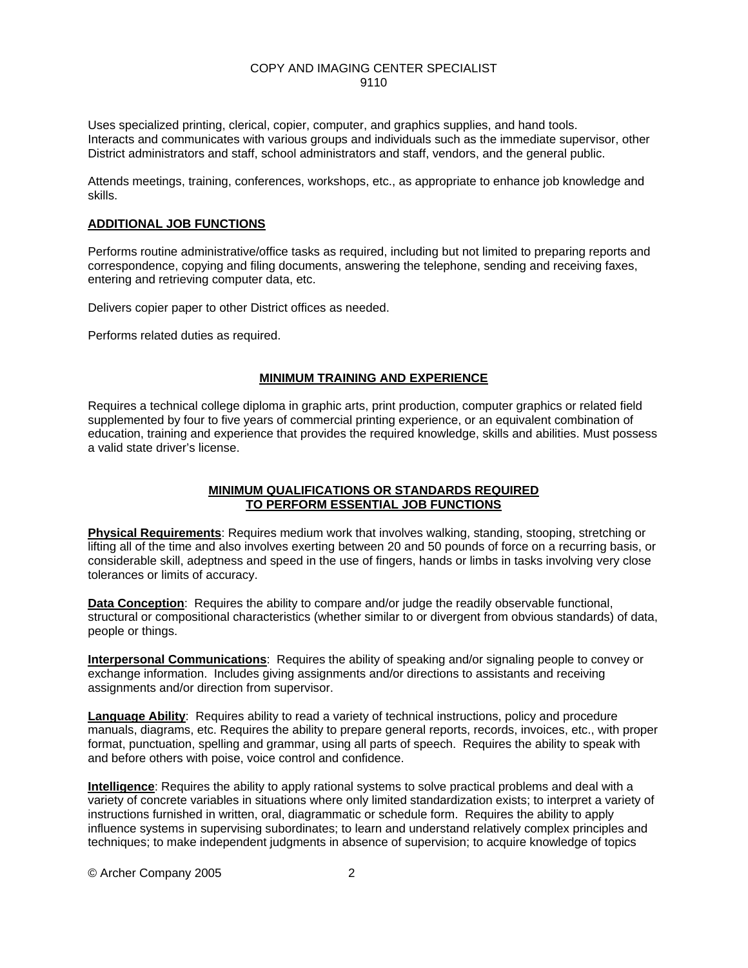Uses specialized printing, clerical, copier, computer, and graphics supplies, and hand tools. Interacts and communicates with various groups and individuals such as the immediate supervisor, other District administrators and staff, school administrators and staff, vendors, and the general public.

Attends meetings, training, conferences, workshops, etc., as appropriate to enhance job knowledge and skills.

### **ADDITIONAL JOB FUNCTIONS**

Performs routine administrative/office tasks as required, including but not limited to preparing reports and correspondence, copying and filing documents, answering the telephone, sending and receiving faxes, entering and retrieving computer data, etc.

Delivers copier paper to other District offices as needed.

Performs related duties as required.

#### **MINIMUM TRAINING AND EXPERIENCE**

Requires a technical college diploma in graphic arts, print production, computer graphics or related field supplemented by four to five years of commercial printing experience, or an equivalent combination of education, training and experience that provides the required knowledge, skills and abilities. Must possess a valid state driver's license.

# **MINIMUM QUALIFICATIONS OR STANDARDS REQUIRED TO PERFORM ESSENTIAL JOB FUNCTIONS**

**Physical Requirements**: Requires medium work that involves walking, standing, stooping, stretching or lifting all of the time and also involves exerting between 20 and 50 pounds of force on a recurring basis, or considerable skill, adeptness and speed in the use of fingers, hands or limbs in tasks involving very close tolerances or limits of accuracy.

**Data Conception**: Requires the ability to compare and/or judge the readily observable functional, structural or compositional characteristics (whether similar to or divergent from obvious standards) of data, people or things.

**Interpersonal Communications**: Requires the ability of speaking and/or signaling people to convey or exchange information. Includes giving assignments and/or directions to assistants and receiving assignments and/or direction from supervisor.

**Language Ability**: Requires ability to read a variety of technical instructions, policy and procedure manuals, diagrams, etc. Requires the ability to prepare general reports, records, invoices, etc., with proper format, punctuation, spelling and grammar, using all parts of speech. Requires the ability to speak with and before others with poise, voice control and confidence.

**Intelligence**: Requires the ability to apply rational systems to solve practical problems and deal with a variety of concrete variables in situations where only limited standardization exists; to interpret a variety of instructions furnished in written, oral, diagrammatic or schedule form. Requires the ability to apply influence systems in supervising subordinates; to learn and understand relatively complex principles and techniques; to make independent judgments in absence of supervision; to acquire knowledge of topics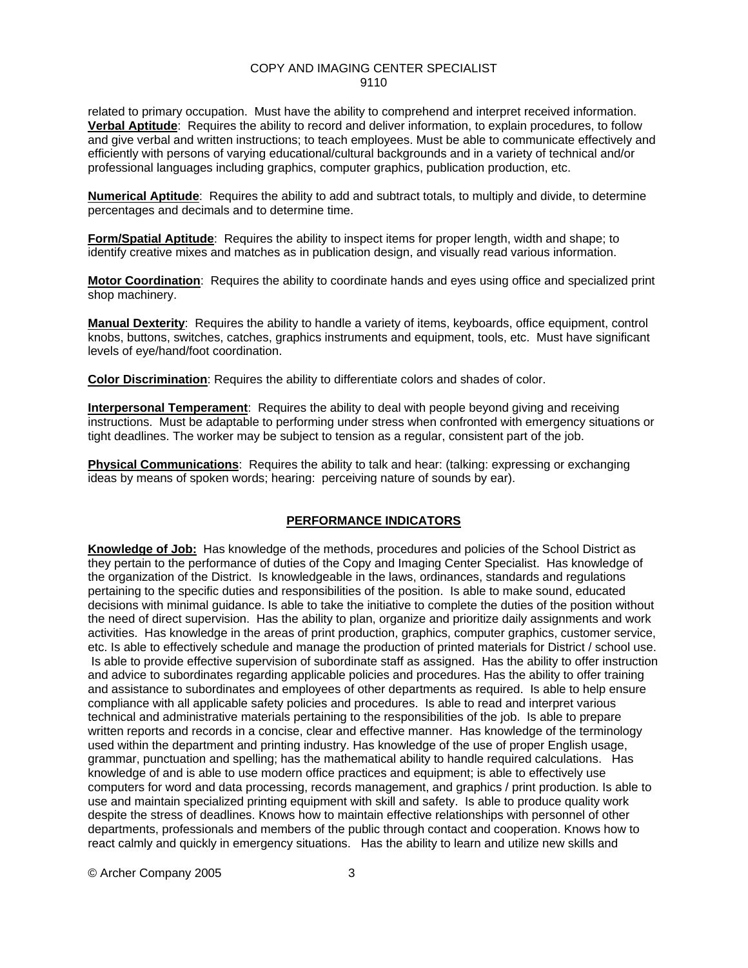related to primary occupation. Must have the ability to comprehend and interpret received information. **Verbal Aptitude**: Requires the ability to record and deliver information, to explain procedures, to follow and give verbal and written instructions; to teach employees. Must be able to communicate effectively and efficiently with persons of varying educational/cultural backgrounds and in a variety of technical and/or professional languages including graphics, computer graphics, publication production, etc.

**Numerical Aptitude**: Requires the ability to add and subtract totals, to multiply and divide, to determine percentages and decimals and to determine time.

**Form/Spatial Aptitude**: Requires the ability to inspect items for proper length, width and shape; to identify creative mixes and matches as in publication design, and visually read various information.

**Motor Coordination**: Requires the ability to coordinate hands and eyes using office and specialized print shop machinery.

**Manual Dexterity**: Requires the ability to handle a variety of items, keyboards, office equipment, control knobs, buttons, switches, catches, graphics instruments and equipment, tools, etc. Must have significant levels of eye/hand/foot coordination.

**Color Discrimination**: Requires the ability to differentiate colors and shades of color.

**Interpersonal Temperament**: Requires the ability to deal with people beyond giving and receiving instructions. Must be adaptable to performing under stress when confronted with emergency situations or tight deadlines. The worker may be subject to tension as a regular, consistent part of the job.

**Physical Communications**: Requires the ability to talk and hear: (talking: expressing or exchanging ideas by means of spoken words; hearing: perceiving nature of sounds by ear).

# **PERFORMANCE INDICATORS**

**Knowledge of Job:** Has knowledge of the methods, procedures and policies of the School District as they pertain to the performance of duties of the Copy and Imaging Center Specialist. Has knowledge of the organization of the District. Is knowledgeable in the laws, ordinances, standards and regulations pertaining to the specific duties and responsibilities of the position. Is able to make sound, educated decisions with minimal guidance. Is able to take the initiative to complete the duties of the position without the need of direct supervision. Has the ability to plan, organize and prioritize daily assignments and work activities. Has knowledge in the areas of print production, graphics, computer graphics, customer service, etc. Is able to effectively schedule and manage the production of printed materials for District / school use. Is able to provide effective supervision of subordinate staff as assigned. Has the ability to offer instruction and advice to subordinates regarding applicable policies and procedures. Has the ability to offer training and assistance to subordinates and employees of other departments as required. Is able to help ensure compliance with all applicable safety policies and procedures. Is able to read and interpret various technical and administrative materials pertaining to the responsibilities of the job. Is able to prepare written reports and records in a concise, clear and effective manner. Has knowledge of the terminology used within the department and printing industry. Has knowledge of the use of proper English usage, grammar, punctuation and spelling; has the mathematical ability to handle required calculations. Has knowledge of and is able to use modern office practices and equipment; is able to effectively use computers for word and data processing, records management, and graphics / print production. Is able to use and maintain specialized printing equipment with skill and safety. Is able to produce quality work despite the stress of deadlines. Knows how to maintain effective relationships with personnel of other departments, professionals and members of the public through contact and cooperation. Knows how to react calmly and quickly in emergency situations. Has the ability to learn and utilize new skills and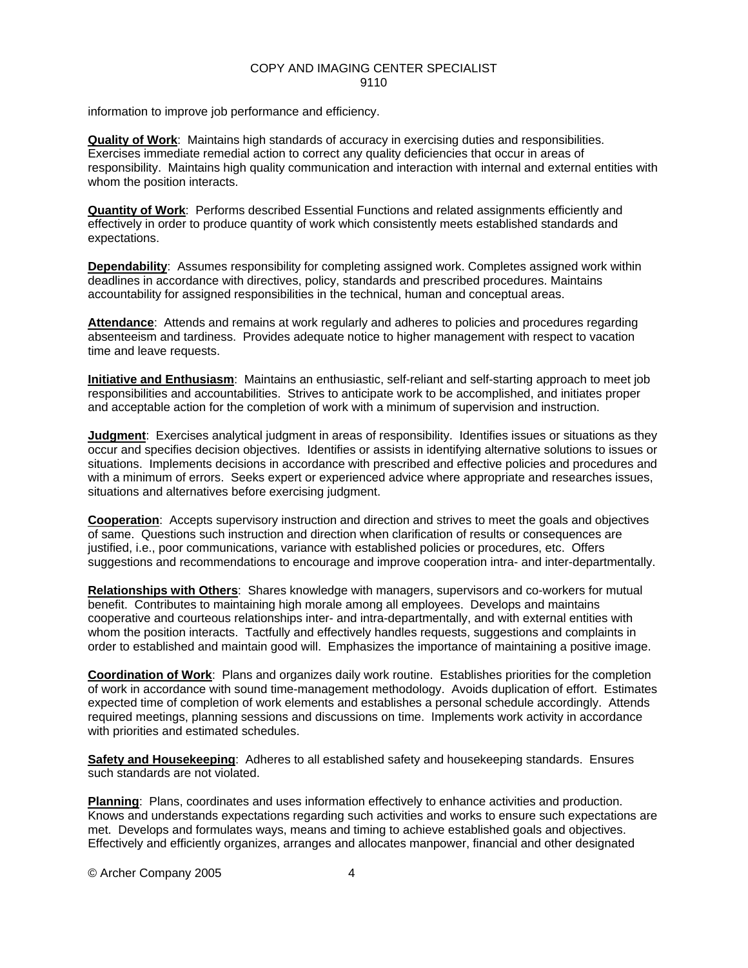information to improve job performance and efficiency.

**Quality of Work**: Maintains high standards of accuracy in exercising duties and responsibilities. Exercises immediate remedial action to correct any quality deficiencies that occur in areas of responsibility. Maintains high quality communication and interaction with internal and external entities with whom the position interacts.

**Quantity of Work**: Performs described Essential Functions and related assignments efficiently and effectively in order to produce quantity of work which consistently meets established standards and expectations.

**Dependability**: Assumes responsibility for completing assigned work. Completes assigned work within deadlines in accordance with directives, policy, standards and prescribed procedures. Maintains accountability for assigned responsibilities in the technical, human and conceptual areas.

Attendance: Attends and remains at work regularly and adheres to policies and procedures regarding absenteeism and tardiness. Provides adequate notice to higher management with respect to vacation time and leave requests.

**Initiative and Enthusiasm**: Maintains an enthusiastic, self-reliant and self-starting approach to meet job responsibilities and accountabilities. Strives to anticipate work to be accomplished, and initiates proper and acceptable action for the completion of work with a minimum of supervision and instruction.

**Judgment**: Exercises analytical judgment in areas of responsibility. Identifies issues or situations as they occur and specifies decision objectives. Identifies or assists in identifying alternative solutions to issues or situations. Implements decisions in accordance with prescribed and effective policies and procedures and with a minimum of errors. Seeks expert or experienced advice where appropriate and researches issues, situations and alternatives before exercising judgment.

**Cooperation**: Accepts supervisory instruction and direction and strives to meet the goals and objectives of same. Questions such instruction and direction when clarification of results or consequences are justified, i.e., poor communications, variance with established policies or procedures, etc. Offers suggestions and recommendations to encourage and improve cooperation intra- and inter-departmentally.

**Relationships with Others**: Shares knowledge with managers, supervisors and co-workers for mutual benefit. Contributes to maintaining high morale among all employees. Develops and maintains cooperative and courteous relationships inter- and intra-departmentally, and with external entities with whom the position interacts. Tactfully and effectively handles requests, suggestions and complaints in order to established and maintain good will. Emphasizes the importance of maintaining a positive image.

**Coordination of Work**: Plans and organizes daily work routine. Establishes priorities for the completion of work in accordance with sound time-management methodology. Avoids duplication of effort. Estimates expected time of completion of work elements and establishes a personal schedule accordingly. Attends required meetings, planning sessions and discussions on time. Implements work activity in accordance with priorities and estimated schedules.

**Safety and Housekeeping**: Adheres to all established safety and housekeeping standards. Ensures such standards are not violated.

**Planning**: Plans, coordinates and uses information effectively to enhance activities and production. Knows and understands expectations regarding such activities and works to ensure such expectations are met. Develops and formulates ways, means and timing to achieve established goals and objectives. Effectively and efficiently organizes, arranges and allocates manpower, financial and other designated